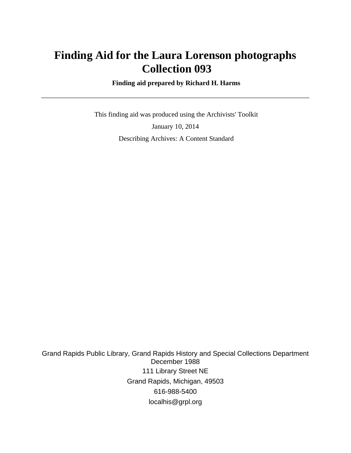# **Finding Aid for the Laura Lorenson photographs Collection 093**

 **Finding aid prepared by Richard H. Harms**

 This finding aid was produced using the Archivists' Toolkit January 10, 2014 Describing Archives: A Content Standard

Grand Rapids Public Library, Grand Rapids History and Special Collections Department December 1988 111 Library Street NE Grand Rapids, Michigan, 49503 616-988-5400 localhis@grpl.org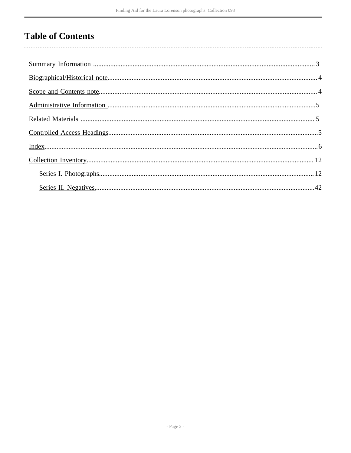# **Table of Contents**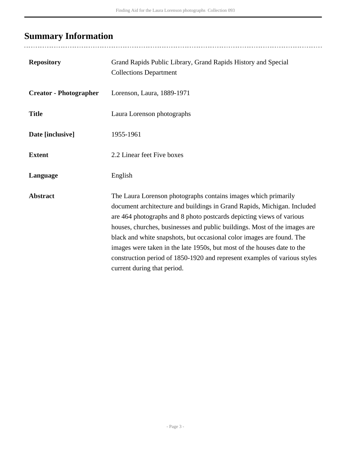# <span id="page-2-0"></span>**Summary Information**

| <b>Repository</b>             | Grand Rapids Public Library, Grand Rapids History and Special<br><b>Collections Department</b>                                                                                                                                                                                                                                                                                                                                                                                                                                                                 |
|-------------------------------|----------------------------------------------------------------------------------------------------------------------------------------------------------------------------------------------------------------------------------------------------------------------------------------------------------------------------------------------------------------------------------------------------------------------------------------------------------------------------------------------------------------------------------------------------------------|
| <b>Creator - Photographer</b> | Lorenson, Laura, 1889-1971                                                                                                                                                                                                                                                                                                                                                                                                                                                                                                                                     |
| <b>Title</b>                  | Laura Lorenson photographs                                                                                                                                                                                                                                                                                                                                                                                                                                                                                                                                     |
| Date [inclusive]              | 1955-1961                                                                                                                                                                                                                                                                                                                                                                                                                                                                                                                                                      |
| <b>Extent</b>                 | 2.2 Linear feet Five boxes                                                                                                                                                                                                                                                                                                                                                                                                                                                                                                                                     |
| Language                      | English                                                                                                                                                                                                                                                                                                                                                                                                                                                                                                                                                        |
| <b>Abstract</b>               | The Laura Lorenson photographs contains images which primarily<br>document architecture and buildings in Grand Rapids, Michigan. Included<br>are 464 photographs and 8 photo postcards depicting views of various<br>houses, churches, businesses and public buildings. Most of the images are<br>black and white snapshots, but occasional color images are found. The<br>images were taken in the late 1950s, but most of the houses date to the<br>construction period of 1850-1920 and represent examples of various styles<br>current during that period. |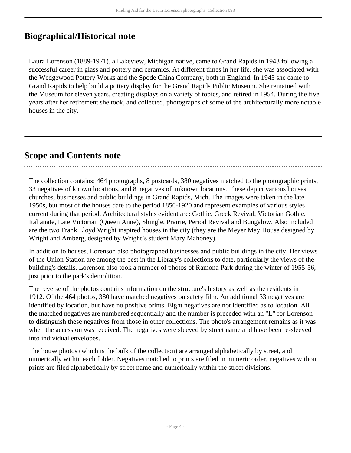# <span id="page-3-0"></span>**Biographical/Historical note**

Laura Lorenson (1889-1971), a Lakeview, Michigan native, came to Grand Rapids in 1943 following a successful career in glass and pottery and ceramics. At different times in her life, she was associated with the Wedgewood Pottery Works and the Spode China Company, both in England. In 1943 she came to Grand Rapids to help build a pottery display for the Grand Rapids Public Museum. She remained with the Museum for eleven years, creating displays on a variety of topics, and retired in 1954. During the five years after her retirement she took, and collected, photographs of some of the architecturally more notable houses in the city.

## <span id="page-3-1"></span>**Scope and Contents note**

The collection contains: 464 photographs, 8 postcards, 380 negatives matched to the photographic prints, 33 negatives of known locations, and 8 negatives of unknown locations. These depict various houses, churches, businesses and public buildings in Grand Rapids, Mich. The images were taken in the late 1950s, but most of the houses date to the period 1850-1920 and represent examples of various styles current during that period. Architectural styles evident are: Gothic, Greek Revival, Victorian Gothic, Italianate, Late Victorian (Queen Anne), Shingle, Prairie, Period Revival and Bungalow. Also included are the two Frank Lloyd Wright inspired houses in the city (they are the Meyer May House designed by Wright and Amberg, designed by Wright's student Mary Mahoney).

In addition to houses, Lorenson also photographed businesses and public buildings in the city. Her views of the Union Station are among the best in the Library's collections to date, particularly the views of the building's details. Lorenson also took a number of photos of Ramona Park during the winter of 1955-56, just prior to the park's demolition.

The reverse of the photos contains information on the structure's history as well as the residents in 1912. Of the 464 photos, 380 have matched negatives on safety film. An additional 33 negatives are identified by location, but have no positive prints. Eight negatives are not identified as to location. All the matched negatives are numbered sequentially and the number is preceded with an "L" for Lorenson to distinguish these negatives from those in other collections. The photo's arrangement remains as it was when the accession was received. The negatives were sleeved by street name and have been re-sleeved into individual envelopes.

The house photos (which is the bulk of the collection) are arranged alphabetically by street, and numerically within each folder. Negatives matched to prints are filed in numeric order, negatives without prints are filed alphabetically by street name and numerically within the street divisions.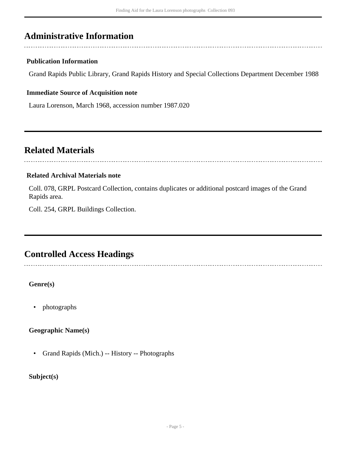# <span id="page-4-0"></span>**Administrative Information**

### **Publication Information**

Grand Rapids Public Library, Grand Rapids History and Special Collections Department December 1988

### **Immediate Source of Acquisition note**

Laura Lorenson, March 1968, accession number 1987.020

## <span id="page-4-1"></span>**Related Materials**

### **Related Archival Materials note**

Coll. 078, GRPL Postcard Collection, contains duplicates or additional postcard images of the Grand Rapids area.

Coll. 254, GRPL Buildings Collection.

# <span id="page-4-2"></span>**Controlled Access Headings**

**Genre(s)**

• photographs

**Geographic Name(s)**

• Grand Rapids (Mich.) -- History -- Photographs

**Subject(s)**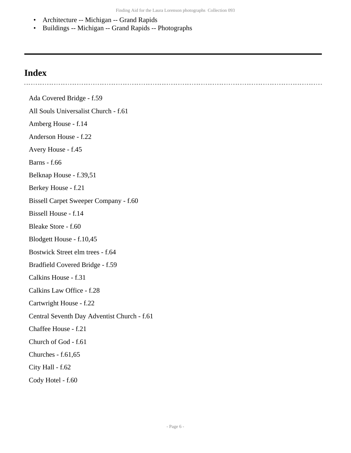- Architecture -- Michigan -- Grand Rapids
- Buildings -- Michigan -- Grand Rapids -- Photographs

## <span id="page-5-0"></span>**Index**

Ada Covered Bridge - f.59 All Souls Universalist Church - f.61 Amberg House - f.14 Anderson House - f.22 Avery House - f.45 Barns - f.66 Belknap House - f.39,51 Berkey House - f.21 Bissell Carpet Sweeper Company - f.60 Bissell House - f.14 Bleake Store - f.60 Blodgett House - f.10,45 Bostwick Street elm trees - f.64 Bradfield Covered Bridge - f.59 Calkins House - f.31 Calkins Law Office - f.28 Cartwright House - f.22 Central Seventh Day Adventist Church - f.61 Chaffee House - f.21 Church of God - f.61 Churches - f.61,65 City Hall - f.62 Cody Hotel - f.60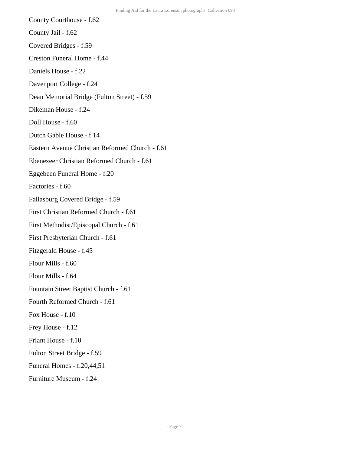County Courthouse - f.62

County Jail - f.62

Covered Bridges - f.59

Creston Funeral Home - f.44

Daniels House - f.22

Davenport College - f.24

Dean Memorial Bridge (Fulton Street) - f.59

Dikeman House - f.24

Doll House - f.60

Dutch Gable House - f.14

Eastern Avenue Christian Reformed Church - f.61

Ebenezeer Christian Reformed Church - f.61

Eggebeen Funeral Home - f.20

Factories - f.60

Fallasburg Covered Bridge - f.59

First Christian Reformed Church - f.61

First Methodist/Episcopal Church - f.61

First Presbyterian Church - f.61

Fitzgerald House - f.45

Flour Mills - f.60

Flour Mills - f.64

Fountain Street Baptist Church - f.61

Fourth Reformed Church - f.61

Fox House - f.10

Frey House - f.12

Friant House - f.10

Fulton Street Bridge - f.59

Funeral Homes - f.20,44,51

Furniture Museum - f.24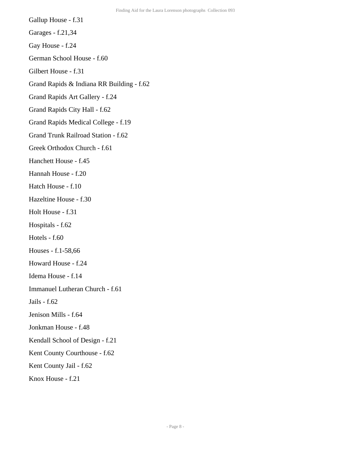Gallup House - f.31

Garages - f.21,34

Gay House - f.24

German School House - f.60

Gilbert House - f.31

Grand Rapids & Indiana RR Building - f.62

Grand Rapids Art Gallery - f.24

Grand Rapids City Hall - f.62

Grand Rapids Medical College - f.19

Grand Trunk Railroad Station - f.62

Greek Orthodox Church - f.61

Hanchett House - f.45

Hannah House - f.20

Hatch House - f.10

Hazeltine House - f.30

Holt House - f.31

Hospitals - f.62

Hotels - f.60

Houses - f.1-58,66

Howard House - f.24

Idema House - f.14

Immanuel Lutheran Church - f.61

Jails - f.62

Jenison Mills - f.64

Jonkman House - f.48

Kendall School of Design - f.21

Kent County Courthouse - f.62

Kent County Jail - f.62

Knox House - f.21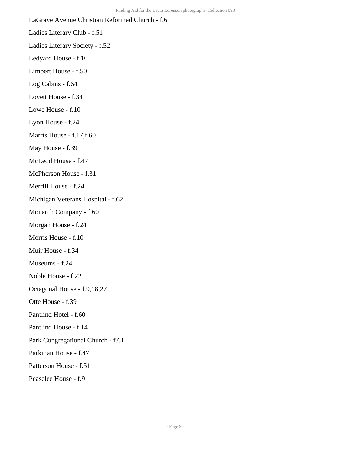LaGrave Avenue Christian Reformed Church - f.61 Ladies Literary Club - f.51 Ladies Literary Society - f.52 Ledyard House - f.10 Limbert House - f.50 Log Cabins - f.64 Lovett House - f.34 Lowe House - f.10 Lyon House - f.24 Marris House - f.17,f.60 May House - f.39 McLeod House - f.47 McPherson House - f.31 Merrill House - f.24 Michigan Veterans Hospital - f.62 Monarch Company - f.60 Morgan House - f.24 Morris House - f.10 Muir House - f.34 Museums - f.24 Noble House - f.22 Octagonal House - f.9,18,27 Otte House - f.39 Pantlind Hotel - f.60 Pantlind House - f.14 Park Congregational Church - f.61 Parkman House - f.47 Patterson House - f.51 Peaselee House - f.9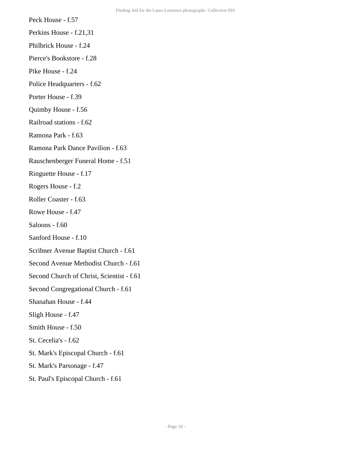- Peck House f.57
- Perkins House f.21,31
- Philbrick House f.24
- Pierce's Bookstore f.28
- Pike House f.24
- Police Headquarters f.62
- Porter House f.39
- Quimby House f.56
- Railroad stations f.62
- Ramona Park f.63
- Ramona Park Dance Pavilion f.63
- Rauschenberger Funeral Home f.51
- Ringuette House f.17
- Rogers House f.2
- Roller Coaster f.63
- Rowe House f.47
- Saloons f.60
- Sanford House f.10
- Scribner Avenue Baptist Church f.61
- Second Avenue Methodist Church f.61
- Second Church of Christ, Scientist f.61
- Second Congregational Church f.61
- Shanahan House f.44
- Sligh House f.47
- Smith House f.50
- St. Cecelia's f.62
- St. Mark's Episcopal Church f.61
- St. Mark's Parsonage f.47
- St. Paul's Episcopal Church f.61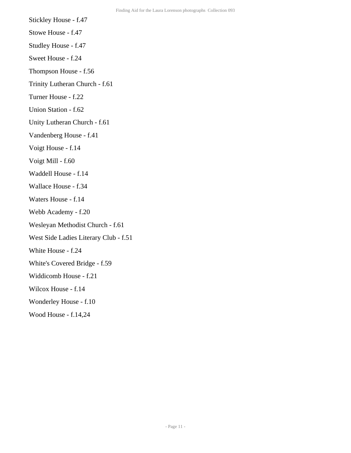- Stickley House f.47
- Stowe House f.47
- Studley House f.47
- Sweet House f.24
- Thompson House f.56
- Trinity Lutheran Church f.61
- Turner House f.22
- Union Station f.62
- Unity Lutheran Church f.61
- Vandenberg House f.41
- Voigt House f.14
- Voigt Mill f.60
- Waddell House f.14
- Wallace House f.34
- Waters House f.14
- Webb Academy f.20
- Wesleyan Methodist Church f.61
- West Side Ladies Literary Club f.51
- White House f.24
- White's Covered Bridge f.59
- Widdicomb House f.21
- Wilcox House f.14
- Wonderley House f.10
- Wood House f.14,24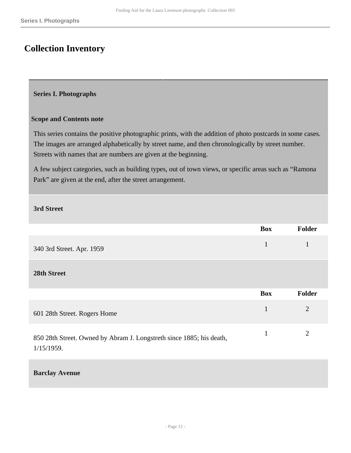# <span id="page-11-0"></span>**Collection Inventory**

#### <span id="page-11-1"></span>**Series I. Photographs**

#### **Scope and Contents note**

This series contains the positive photographic prints, with the addition of photo postcards in some cases. The images are arranged alphabetically by street name, and then chronologically by street number. Streets with names that are numbers are given at the beginning.

A few subject categories, such as building types, out of town views, or specific areas such as "Ramona Park" are given at the end, after the street arrangement.

#### **3rd Street**

|                                                                                    | <b>Box</b>   | Folder         |
|------------------------------------------------------------------------------------|--------------|----------------|
| 340 3rd Street. Apr. 1959                                                          | $\mathbf{1}$ | 1              |
| 28th Street                                                                        |              |                |
|                                                                                    | <b>Box</b>   | <b>Folder</b>  |
| 601 28th Street. Rogers Home                                                       | 1            | $\overline{2}$ |
| 850 28th Street. Owned by Abram J. Longstreth since 1885; his death,<br>1/15/1959. | 1            | 2              |

#### **Barclay Avenue**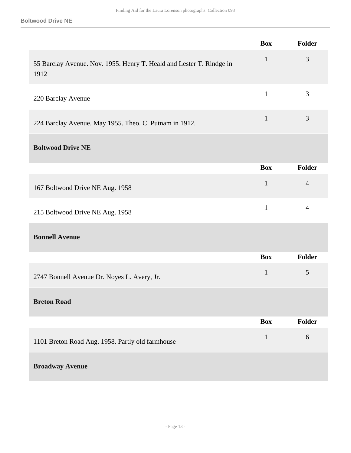|                                                                              | <b>Box</b>   | Folder         |
|------------------------------------------------------------------------------|--------------|----------------|
| 55 Barclay Avenue. Nov. 1955. Henry T. Heald and Lester T. Rindge in<br>1912 | $\mathbf{1}$ | 3              |
| 220 Barclay Avenue                                                           | $\mathbf{1}$ | 3              |
| 224 Barclay Avenue. May 1955. Theo. C. Putnam in 1912.                       | $\mathbf{1}$ | 3              |
| <b>Boltwood Drive NE</b>                                                     |              |                |
|                                                                              | <b>Box</b>   | Folder         |
| 167 Boltwood Drive NE Aug. 1958                                              | $\mathbf{1}$ | $\overline{4}$ |
| 215 Boltwood Drive NE Aug. 1958                                              | $\mathbf{1}$ | $\overline{4}$ |
| <b>Bonnell Avenue</b>                                                        |              |                |
|                                                                              | <b>Box</b>   | Folder         |
| 2747 Bonnell Avenue Dr. Noyes L. Avery, Jr.                                  | $\mathbf{1}$ | 5              |
| <b>Breton Road</b>                                                           |              |                |
|                                                                              | <b>Box</b>   | <b>Folder</b>  |
| 1101 Breton Road Aug. 1958. Partly old farmhouse                             | $\mathbf 1$  | $6\,$          |
| <b>Broadway Avenue</b>                                                       |              |                |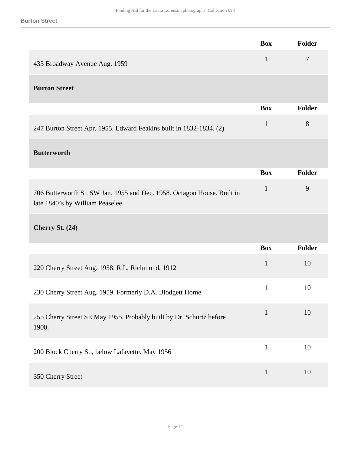|                                                                                                             | <b>Box</b>   | Folder         |
|-------------------------------------------------------------------------------------------------------------|--------------|----------------|
| 433 Broadway Avenue Aug. 1959                                                                               | $\mathbf{1}$ | $\overline{7}$ |
| <b>Burton Street</b>                                                                                        |              |                |
|                                                                                                             | <b>Box</b>   | <b>Folder</b>  |
| 247 Burton Street Apr. 1955. Edward Feakins built in 1832-1834. (2)                                         | $\mathbf{1}$ | 8              |
| <b>Butterworth</b>                                                                                          |              |                |
|                                                                                                             | <b>Box</b>   | <b>Folder</b>  |
| 706 Butterworth St. SW Jan. 1955 and Dec. 1958. Octagon House. Built in<br>late 1840's by William Peaselee. | $\mathbf{1}$ | 9              |
| Cherry St. (24)                                                                                             |              |                |
|                                                                                                             | <b>Box</b>   | <b>Folder</b>  |
| 220 Cherry Street Aug. 1958. R.L. Richmond, 1912                                                            | $\mathbf{1}$ | 10             |
| 230 Cherry Street Aug. 1959. Formerly D.A. Blodgett Home.                                                   | $\mathbf{1}$ | 10             |
| 255 Cherry Street SE May 1955. Probably built by Dr. Schurtz before<br>1900.                                | $\mathbf{1}$ | 10             |
| 200 Block Cherry St., below Lafayette. May 1956                                                             | $\mathbf{1}$ | 10             |
| 350 Cherry Street                                                                                           | $\mathbf{1}$ | 10             |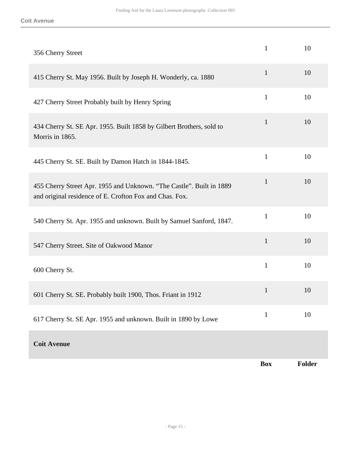| 356 Cherry Street                                                                                                               | $\mathbf{1}$ | 10     |
|---------------------------------------------------------------------------------------------------------------------------------|--------------|--------|
| 415 Cherry St. May 1956. Built by Joseph H. Wonderly, ca. 1880                                                                  | $\mathbf{1}$ | 10     |
| 427 Cherry Street Probably built by Henry Spring                                                                                | $\mathbf{1}$ | 10     |
| 434 Cherry St. SE Apr. 1955. Built 1858 by Gilbert Brothers, sold to<br>Morris in 1865.                                         | $\mathbf{1}$ | 10     |
| 445 Cherry St. SE. Built by Damon Hatch in 1844-1845.                                                                           | $\mathbf{1}$ | 10     |
| 455 Cherry Street Apr. 1955 and Unknown. "The Castle". Built in 1889<br>and original residence of E. Crofton Fox and Chas. Fox. | $\mathbf{1}$ | 10     |
| 540 Cherry St. Apr. 1955 and unknown. Built by Samuel Sanford, 1847.                                                            | $\mathbf{1}$ | 10     |
| 547 Cherry Street. Site of Oakwood Manor                                                                                        | $\mathbf{1}$ | 10     |
| 600 Cherry St.                                                                                                                  | $\mathbf{1}$ | 10     |
| 601 Cherry St. SE. Probably built 1900, Thos. Friant in 1912                                                                    | $\mathbf{1}$ | 10     |
| 617 Cherry St. SE Apr. 1955 and unknown. Built in 1890 by Lowe                                                                  | $\mathbf{1}$ | 10     |
| <b>Coit Avenue</b>                                                                                                              |              |        |
|                                                                                                                                 | <b>Box</b>   | Folder |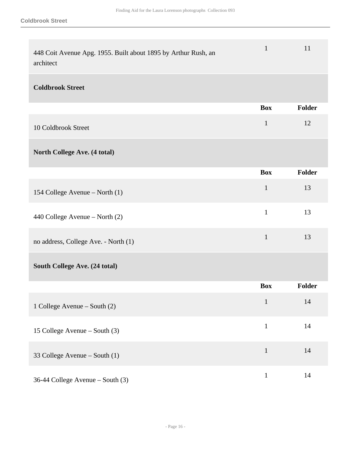| 448 Coit Avenue Apg. 1955. Built about 1895 by Arthur Rush, an<br>architect | $\mathbf{1}$ | 11     |
|-----------------------------------------------------------------------------|--------------|--------|
| <b>Coldbrook Street</b>                                                     |              |        |
|                                                                             | <b>Box</b>   | Folder |
| 10 Coldbrook Street                                                         | $\mathbf{1}$ | 12     |
| North College Ave. (4 total)                                                |              |        |
|                                                                             | <b>Box</b>   | Folder |
| 154 College Avenue – North (1)                                              | $\mathbf{1}$ | 13     |
| 440 College Avenue – North (2)                                              | $\mathbf{1}$ | 13     |
| no address, College Ave. - North (1)                                        | $\mathbf{1}$ | 13     |
| South College Ave. (24 total)                                               |              |        |
|                                                                             | <b>Box</b>   | Folder |
| 1 College Avenue – South (2)                                                | $\mathbf{1}$ | 14     |
| 15 College Avenue – South (3)                                               | $\mathbf{1}$ | 14     |
| 33 College Avenue – South (1)                                               | $\mathbf{1}$ | 14     |
| 36-44 College Avenue - South (3)                                            | $\mathbf{1}$ | 14     |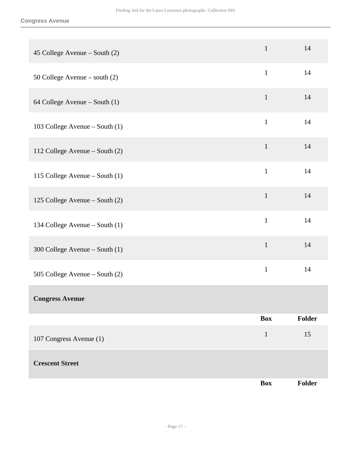#### **Congress Avenue**

|                                | <b>Box</b>   | Folder |
|--------------------------------|--------------|--------|
| <b>Crescent Street</b>         |              |        |
| 107 Congress Avenue (1)        | $\mathbf{1}$ | 15     |
|                                | <b>Box</b>   | Folder |
| <b>Congress Avenue</b>         |              |        |
| 505 College Avenue – South (2) | $\mathbf{1}$ | 14     |
| 300 College Avenue – South (1) | $\mathbf{1}$ | 14     |
| 134 College Avenue – South (1) | $\mathbf{1}$ | 14     |
| 125 College Avenue - South (2) | $\mathbf{1}$ | 14     |
| 115 College Avenue – South (1) | $\mathbf{1}$ | 14     |
| 112 College Avenue – South (2) | $\mathbf{1}$ | 14     |
| 103 College Avenue – South (1) | $\mathbf{1}$ | 14     |
| 64 College Avenue – South (1)  | $\mathbf{1}$ | 14     |
| 50 College Avenue – south (2)  | $\mathbf{1}$ | 14     |
| 45 College Avenue – South (2)  | $\mathbf{1}$ | 14     |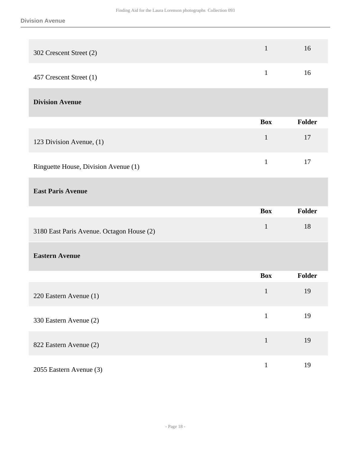| 302 Crescent Street (2)                   | $\mathbf{1}$ | 16            |
|-------------------------------------------|--------------|---------------|
| 457 Crescent Street (1)                   | $\mathbf{1}$ | 16            |
| <b>Division Avenue</b>                    |              |               |
|                                           | <b>Box</b>   | <b>Folder</b> |
| 123 Division Avenue, (1)                  | $\mathbf{1}$ | 17            |
| Ringuette House, Division Avenue (1)      | $\mathbf{1}$ | 17            |
| <b>East Paris Avenue</b>                  |              |               |
|                                           | <b>Box</b>   | Folder        |
| 3180 East Paris Avenue. Octagon House (2) | $\mathbf{1}$ | 18            |
| <b>Eastern Avenue</b>                     |              |               |
|                                           | <b>Box</b>   | Folder        |
| 220 Eastern Avenue (1)                    | $\mathbf{1}$ | 19            |
| 330 Eastern Avenue (2)                    | $\mathbf 1$  | 19            |
| 822 Eastern Avenue (2)                    | $\mathbf{1}$ | 19            |
| 2055 Eastern Avenue (3)                   | $\,1$        | 19            |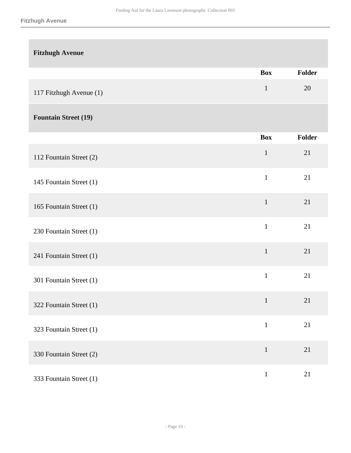| <b>Fitzhugh Avenue</b>      |              |        |
|-----------------------------|--------------|--------|
|                             | <b>Box</b>   | Folder |
| 117 Fitzhugh Avenue (1)     | $\mathbf 1$  | 20     |
| <b>Fountain Street (19)</b> |              |        |
|                             | <b>Box</b>   | Folder |
| 112 Fountain Street (2)     | $\mathbf 1$  | 21     |
| 145 Fountain Street (1)     | $\mathbf{1}$ | 21     |
| 165 Fountain Street (1)     | $\mathbf{1}$ | 21     |
| 230 Fountain Street (1)     | $\mathbf{1}$ | 21     |
| 241 Fountain Street (1)     | $\mathbf{1}$ | 21     |
| 301 Fountain Street (1)     | $\mathbf{1}$ | 21     |
| 322 Fountain Street (1)     | $\mathbf 1$  | 21     |
| 323 Fountain Street (1)     | $\mathbf{1}$ | 21     |
| 330 Fountain Street (2)     | $\mathbf 1$  | 21     |
| 333 Fountain Street (1)     | $\mathbf{1}$ | 21     |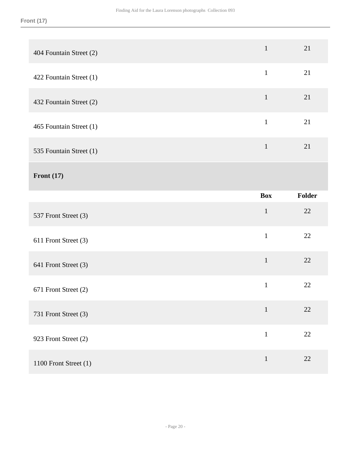| 404 Fountain Street (2) | $\mathbf{1}$ | 21     |
|-------------------------|--------------|--------|
| 422 Fountain Street (1) | $\mathbf 1$  | 21     |
| 432 Fountain Street (2) | $\mathbf{1}$ | 21     |
| 465 Fountain Street (1) | $\mathbf{1}$ | 21     |
| 535 Fountain Street (1) | $\mathbf 1$  | 21     |
| Front $(17)$            |              |        |
|                         | <b>Box</b>   | Folder |
|                         |              |        |
| 537 Front Street (3)    | $\mathbf 1$  | 22     |
| 611 Front Street (3)    | $\mathbf{1}$ | 22     |
| 641 Front Street (3)    | $\mathbf{1}$ | 22     |
| 671 Front Street (2)    | $\mathbf{1}$ | 22     |
| 731 Front Street (3)    | $1\,$        | 22     |
| 923 Front Street (2)    | $\mathbf{1}$ | $22\,$ |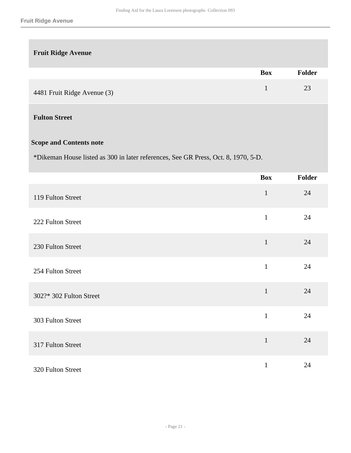### **Fruit Ridge Avenue**

|                             | <b>Box</b> | <b>Folder</b> |
|-----------------------------|------------|---------------|
| 4481 Fruit Ridge Avenue (3) |            | 23            |

### **Fulton Street**

### **Scope and Contents note**

\*Dikeman House listed as 300 in later references, See GR Press, Oct. 8, 1970, 5-D.

|                         | <b>Box</b>   | Folder |
|-------------------------|--------------|--------|
| 119 Fulton Street       | $\mathbf{1}$ | 24     |
| 222 Fulton Street       | $\mathbf{1}$ | 24     |
| 230 Fulton Street       | $\mathbf{1}$ | 24     |
| 254 Fulton Street       | $\mathbf{1}$ | 24     |
| 302?* 302 Fulton Street | $\mathbf{1}$ | 24     |
| 303 Fulton Street       | $\mathbf{1}$ | 24     |
| 317 Fulton Street       | $\mathbf{1}$ | 24     |
| 320 Fulton Street       | $\mathbf{1}$ | 24     |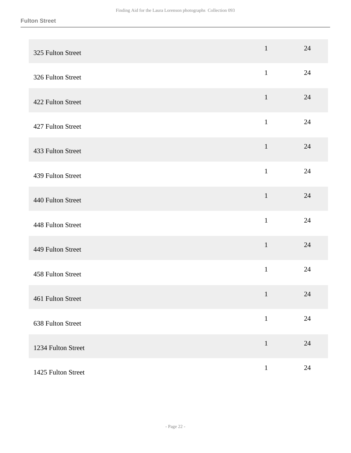| 325 Fulton Street  | $\mathbf{1}$ | 24     |
|--------------------|--------------|--------|
| 326 Fulton Street  | $\mathbf{1}$ | 24     |
| 422 Fulton Street  | $\mathbf{1}$ | 24     |
| 427 Fulton Street  | $\mathbf 1$  | 24     |
| 433 Fulton Street  | $\mathbf{1}$ | 24     |
| 439 Fulton Street  | $\mathbf{1}$ | 24     |
| 440 Fulton Street  | $\mathbf 1$  | 24     |
| 448 Fulton Street  | $\mathbf{1}$ | 24     |
| 449 Fulton Street  | $\mathbf{1}$ | $24\,$ |
| 458 Fulton Street  | $\mathbf{1}$ | 24     |
| 461 Fulton Street  | $\mathbf{1}$ | 24     |
| 638 Fulton Street  | $\mathbf{1}$ | $24\,$ |
| 1234 Fulton Street | $\,1\,$      | 24     |
| 1425 Fulton Street | $1\,$        | $24\,$ |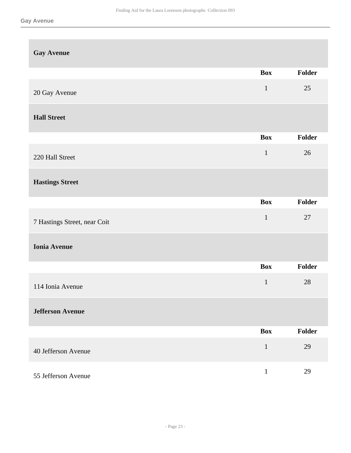| <b>Gay Avenue</b>            |              |               |
|------------------------------|--------------|---------------|
|                              | <b>Box</b>   | <b>Folder</b> |
| 20 Gay Avenue                | $\mathbf{1}$ | 25            |
| <b>Hall Street</b>           |              |               |
|                              | <b>Box</b>   | Folder        |
| 220 Hall Street              | $\mathbf{1}$ | 26            |
| <b>Hastings Street</b>       |              |               |
|                              | <b>Box</b>   | <b>Folder</b> |
| 7 Hastings Street, near Coit | $\mathbf{1}$ | 27            |
| <b>Ionia Avenue</b>          |              |               |
|                              | <b>Box</b>   | Folder        |
| 114 Ionia Avenue             | $\mathbf 1$  | 28            |
| <b>Jefferson Avenue</b>      |              |               |
|                              | <b>Box</b>   | Folder        |
| 40 Jefferson Avenue          | $\mathbf{1}$ | 29            |
| 55 Jefferson Avenue          | $\mathbf{1}$ | 29            |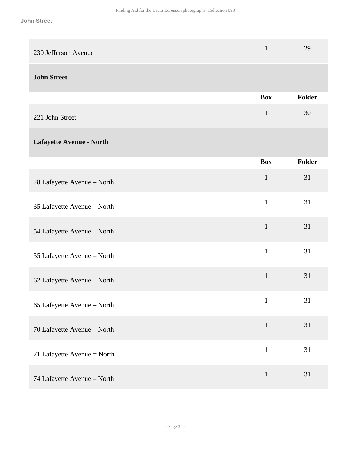| 230 Jefferson Avenue        | $\mathbf{1}$ | 29     |
|-----------------------------|--------------|--------|
| <b>John Street</b>          |              |        |
|                             | <b>Box</b>   | Folder |
| 221 John Street             | $\mathbf{1}$ | 30     |
| Lafayette Avenue - North    |              |        |
|                             | <b>Box</b>   | Folder |
| 28 Lafayette Avenue - North | $\mathbf{1}$ | 31     |
| 35 Lafayette Avenue - North | $\mathbf{1}$ | 31     |
| 54 Lafayette Avenue - North | $\mathbf{1}$ | 31     |
| 55 Lafayette Avenue - North | $\mathbf{1}$ | 31     |
| 62 Lafayette Avenue - North | $\mathbf{1}$ | 31     |
| 65 Lafayette Avenue - North | $\mathbf{1}$ | 31     |
| 70 Lafayette Avenue - North | $\mathbf{1}$ | 31     |
| 71 Lafayette Avenue = North | $\mathbf{1}$ | 31     |
| 74 Lafayette Avenue - North | $\mathbf{1}$ | 31     |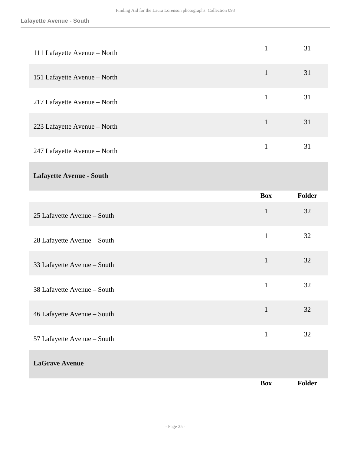| 111 Lafayette Avenue - North    | $\mathbf{1}$ | 31     |
|---------------------------------|--------------|--------|
| 151 Lafayette Avenue - North    | $\mathbf{1}$ | 31     |
| 217 Lafayette Avenue - North    | $\mathbf{1}$ | 31     |
| 223 Lafayette Avenue - North    | $\mathbf{1}$ | 31     |
| 247 Lafayette Avenue - North    | $\mathbf{1}$ | 31     |
| <b>Lafayette Avenue - South</b> |              |        |
|                                 | <b>Box</b>   | Folder |
| 25 Lafayette Avenue - South     | $\mathbf{1}$ | 32     |
| 28 Lafayette Avenue - South     | $\mathbf{1}$ | 32     |
| 33 Lafayette Avenue - South     | $\mathbf{1}$ | 32     |
| 38 Lafayette Avenue - South     | $\mathbf{1}$ | 32     |
| 46 Lafayette Avenue - South     | $\mathbf{1}$ | 32     |
| 57 Lafayette Avenue - South     | $\mathbf{1}$ | 32     |
| <b>LaGrave Avenue</b>           |              |        |
|                                 | <b>Box</b>   | Folder |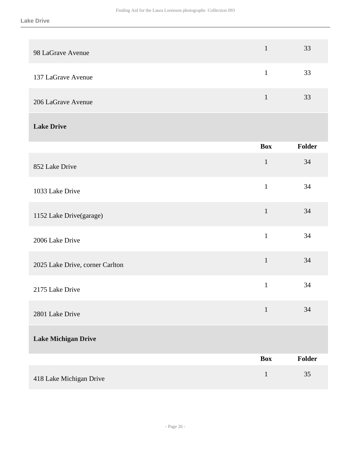| 98 LaGrave Avenue               | $\mathbf{1}$ | 33     |
|---------------------------------|--------------|--------|
| 137 LaGrave Avenue              | $\mathbf{1}$ | 33     |
| 206 LaGrave Avenue              | $\mathbf{1}$ | 33     |
| <b>Lake Drive</b>               |              |        |
|                                 | <b>Box</b>   | Folder |
| 852 Lake Drive                  | $\mathbf 1$  | 34     |
| 1033 Lake Drive                 | $\mathbf{1}$ | 34     |
| 1152 Lake Drive(garage)         | $\mathbf{1}$ | 34     |
| 2006 Lake Drive                 | $\mathbf{1}$ | 34     |
| 2025 Lake Drive, corner Carlton | $\mathbf{1}$ | 34     |
| 2175 Lake Drive                 | $\mathbf 1$  | 34     |
| 2801 Lake Drive                 | $\mathbf{1}$ | 34     |
| <b>Lake Michigan Drive</b>      |              |        |
|                                 | <b>Box</b>   | Folder |
| 418 Lake Michigan Drive         | $\mathbf{1}$ | 35     |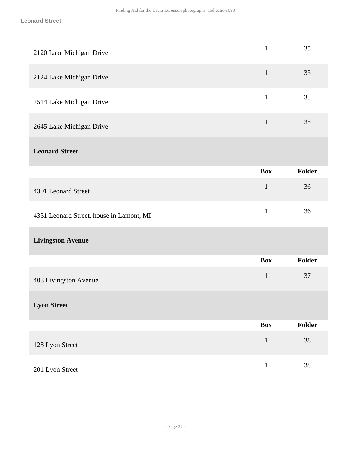| 2120 Lake Michigan Drive                 | $\mathbf{1}$ | 35            |
|------------------------------------------|--------------|---------------|
| 2124 Lake Michigan Drive                 | $\mathbf{1}$ | 35            |
| 2514 Lake Michigan Drive                 | $\mathbf{1}$ | 35            |
| 2645 Lake Michigan Drive                 | $\mathbf{1}$ | 35            |
| <b>Leonard Street</b>                    |              |               |
|                                          | <b>Box</b>   | <b>Folder</b> |
| 4301 Leonard Street                      | $\mathbf{1}$ | 36            |
| 4351 Leonard Street, house in Lamont, MI | $\mathbf{1}$ | 36            |
| <b>Livingston Avenue</b>                 |              |               |
|                                          | <b>Box</b>   | <b>Folder</b> |
|                                          |              |               |
| 408 Livingston Avenue                    | $\mathbf{1}$ | 37            |
| <b>Lyon Street</b>                       |              |               |
|                                          | <b>Box</b>   | <b>Folder</b> |
| 128 Lyon Street                          | $\,1\,$      | 38            |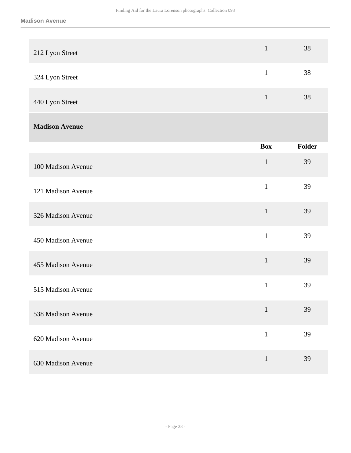| 212 Lyon Street       | $\mathbf{1}$ | 38     |
|-----------------------|--------------|--------|
| 324 Lyon Street       | $\mathbf{1}$ | 38     |
| 440 Lyon Street       | $\mathbf 1$  | 38     |
| <b>Madison Avenue</b> |              |        |
|                       | <b>Box</b>   | Folder |
| 100 Madison Avenue    | $\mathbf 1$  | 39     |
| 121 Madison Avenue    | $\mathbf{1}$ | 39     |
| 326 Madison Avenue    | $\mathbf{1}$ | 39     |
| 450 Madison Avenue    | $\mathbf{1}$ | 39     |
| 455 Madison Avenue    | $\mathbf{1}$ | 39     |
| 515 Madison Avenue    | $\mathbf 1$  | 39     |
| 538 Madison Avenue    | $\mathbf{1}$ | 39     |
| 620 Madison Avenue    | $\mathbf{1}$ | 39     |
| 630 Madison Avenue    | $\mathbf{1}$ | 39     |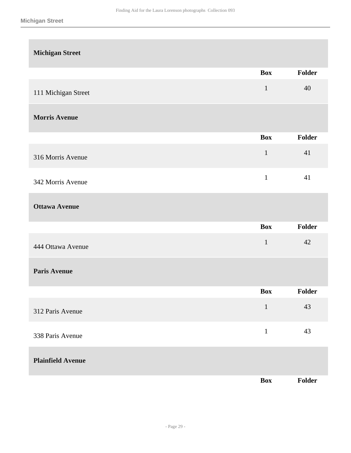| <b>Michigan Street</b>   |              |               |
|--------------------------|--------------|---------------|
|                          | <b>Box</b>   | <b>Folder</b> |
| 111 Michigan Street      | $\mathbf{1}$ | 40            |
| <b>Morris Avenue</b>     |              |               |
|                          | <b>Box</b>   | Folder        |
| 316 Morris Avenue        | $\mathbf 1$  | 41            |
| 342 Morris Avenue        | $\mathbf{1}$ | 41            |
| <b>Ottawa Avenue</b>     |              |               |
|                          | <b>Box</b>   | Folder        |
| 444 Ottawa Avenue        | $\mathbf 1$  | 42            |
| <b>Paris Avenue</b>      |              |               |
|                          | Box          | Folder        |
| 312 Paris Avenue         | $\,1\,$      | 43            |
| 338 Paris Avenue         | $\mathbf 1$  | 43            |
| <b>Plainfield Avenue</b> |              |               |
|                          | Box          | Folder        |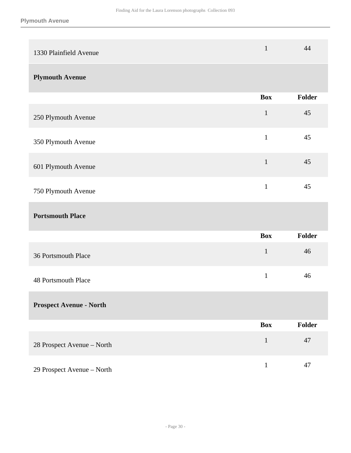| 1330 Plainfield Avenue         | $\mathbf{1}$ | 44            |
|--------------------------------|--------------|---------------|
| <b>Plymouth Avenue</b>         |              |               |
|                                | <b>Box</b>   | <b>Folder</b> |
| 250 Plymouth Avenue            | $\mathbf{1}$ | 45            |
| 350 Plymouth Avenue            | $\mathbf{1}$ | 45            |
| 601 Plymouth Avenue            | $\mathbf{1}$ | 45            |
| 750 Plymouth Avenue            | $\mathbf{1}$ | 45            |
| <b>Portsmouth Place</b>        |              |               |
|                                | <b>Box</b>   | <b>Folder</b> |
| 36 Portsmouth Place            | $\mathbf{1}$ | 46            |
| <b>48 Portsmouth Place</b>     | $\mathbf{1}$ | 46            |
|                                |              |               |
| <b>Prospect Avenue - North</b> |              |               |
|                                | <b>Box</b>   | <b>Folder</b> |
| 28 Prospect Avenue - North     | $1\,$        | 47            |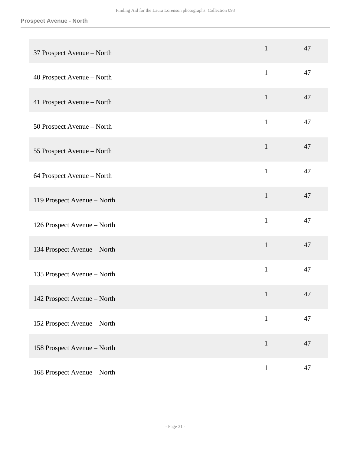| 37 Prospect Avenue - North  | $\mathbf{1}$ | 47 |
|-----------------------------|--------------|----|
| 40 Prospect Avenue - North  | $\mathbf{1}$ | 47 |
| 41 Prospect Avenue - North  | $\mathbf{1}$ | 47 |
| 50 Prospect Avenue - North  | $\mathbf{1}$ | 47 |
| 55 Prospect Avenue - North  | $\mathbf{1}$ | 47 |
| 64 Prospect Avenue - North  | $\mathbf{1}$ | 47 |
| 119 Prospect Avenue - North | $\mathbf{1}$ | 47 |
| 126 Prospect Avenue - North | $\mathbf{1}$ | 47 |
| 134 Prospect Avenue - North | $\mathbf{1}$ | 47 |
| 135 Prospect Avenue - North | $\mathbf{1}$ | 47 |
| 142 Prospect Avenue - North | $\mathbf{1}$ | 47 |
| 152 Prospect Avenue - North | $\mathbf{1}$ | 47 |
| 158 Prospect Avenue - North | $\mathbf{1}$ | 47 |
| 168 Prospect Avenue - North | $\mathbf{1}$ | 47 |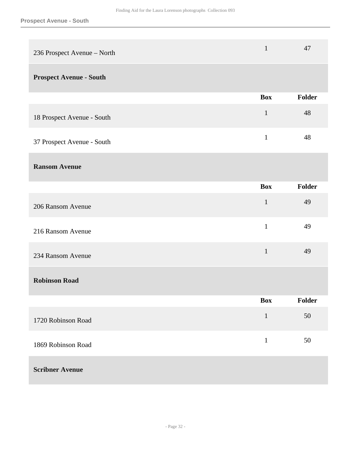| 236 Prospect Avenue - North    | $\mathbf{1}$ | 47     |
|--------------------------------|--------------|--------|
| <b>Prospect Avenue - South</b> |              |        |
|                                | <b>Box</b>   | Folder |
| 18 Prospect Avenue - South     | $\mathbf{1}$ | 48     |
| 37 Prospect Avenue - South     | $\mathbf{1}$ | 48     |
| <b>Ransom Avenue</b>           |              |        |
|                                | <b>Box</b>   | Folder |
| 206 Ransom Avenue              | $\mathbf{1}$ | 49     |
| 216 Ransom Avenue              | $\mathbf{1}$ | 49     |
| 234 Ransom Avenue              | $\mathbf{1}$ | 49     |
| <b>Robinson Road</b>           |              |        |
|                                | <b>Box</b>   | Folder |
| 1720 Robinson Road             | $\mathbf{1}$ | 50     |
| 1869 Robinson Road             | $\mathbf{1}$ | 50     |
| <b>Scribner Avenue</b>         |              |        |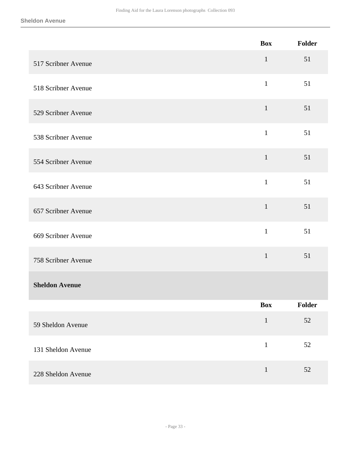|                       | <b>Box</b>   | Folder        |
|-----------------------|--------------|---------------|
| 517 Scribner Avenue   | $\mathbf 1$  | 51            |
| 518 Scribner Avenue   | $\mathbf{1}$ | 51            |
| 529 Scribner Avenue   | $\mathbf 1$  | 51            |
| 538 Scribner Avenue   | $\mathbf{1}$ | 51            |
| 554 Scribner Avenue   | $\mathbf{1}$ | 51            |
| 643 Scribner Avenue   | $\mathbf{1}$ | 51            |
| 657 Scribner Avenue   | $\mathbf{1}$ | 51            |
| 669 Scribner Avenue   | $\mathbf{1}$ | 51            |
| 758 Scribner Avenue   | $\mathbf 1$  | 51            |
| <b>Sheldon Avenue</b> |              |               |
|                       | <b>Box</b>   | <b>Folder</b> |
| 59 Sheldon Avenue     | $\mathbf{1}$ | $52\,$        |
| 131 Sheldon Avenue    | $\mathbf 1$  | $52\,$        |
| 228 Sheldon Avenue    | $\mathbf{1}$ | 52            |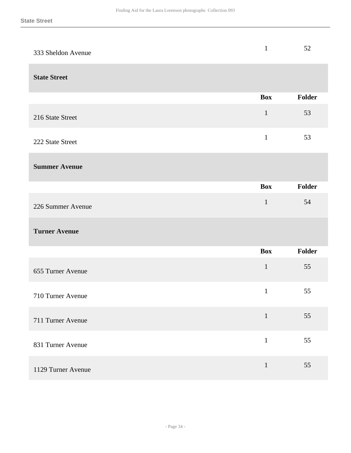| 333 Sheldon Avenue   | $\mathbf{1}$ | 52     |
|----------------------|--------------|--------|
| <b>State Street</b>  |              |        |
|                      | <b>Box</b>   | Folder |
| 216 State Street     | $\mathbf{1}$ | 53     |
| 222 State Street     | $\mathbf{1}$ | 53     |
| <b>Summer Avenue</b> |              |        |
|                      | <b>Box</b>   | Folder |
| 226 Summer Avenue    | $\mathbf{1}$ | 54     |
| <b>Turner Avenue</b> |              |        |
|                      | <b>Box</b>   | Folder |
| 655 Turner Avenue    | $\mathbf 1$  | 55     |
| 710 Turner Avenue    | $\mathbf{1}$ | 55     |
| 711 Turner Avenue    | $\mathbf 1$  | 55     |
| 831 Turner Avenue    | $\mathbf 1$  | 55     |
| 1129 Turner Avenue   | $\mathbf{1}$ | 55     |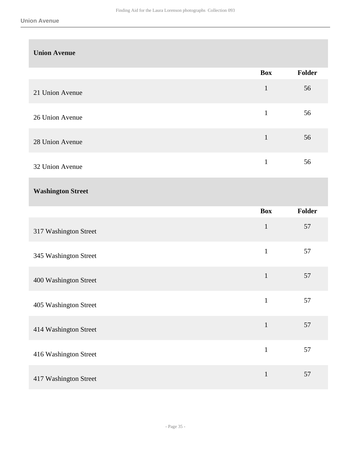| <b>Union Avenue</b>      |              |        |
|--------------------------|--------------|--------|
|                          | <b>Box</b>   | Folder |
| 21 Union Avenue          | $\mathbf{1}$ | 56     |
| 26 Union Avenue          | $\mathbf{1}$ | 56     |
| 28 Union Avenue          | $\mathbf{1}$ | 56     |
| 32 Union Avenue          | $\mathbf{1}$ | 56     |
| <b>Washington Street</b> |              |        |
|                          | <b>Box</b>   | Folder |
| 317 Washington Street    | $\mathbf{1}$ | 57     |
| 345 Washington Street    | $\mathbf{1}$ | 57     |
| 400 Washington Street    | $\mathbf{1}$ | 57     |
| 405 Washington Street    | $\mathbf{1}$ | 57     |
| 414 Washington Street    | $\mathbf{1}$ | 57     |
|                          |              |        |
| 416 Washington Street    | $\,1\,$      | 57     |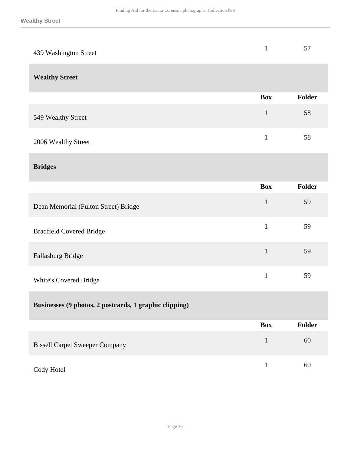| 439 Washington Street                                  | $\mathbf{1}$ | 57            |
|--------------------------------------------------------|--------------|---------------|
| <b>Wealthy Street</b>                                  |              |               |
|                                                        | <b>Box</b>   | <b>Folder</b> |
| 549 Wealthy Street                                     | $\mathbf{1}$ | 58            |
| 2006 Wealthy Street                                    | $\mathbf{1}$ | 58            |
| <b>Bridges</b>                                         |              |               |
|                                                        | <b>Box</b>   | <b>Folder</b> |
| Dean Memorial (Fulton Street) Bridge                   | $\mathbf{1}$ | 59            |
| <b>Bradfield Covered Bridge</b>                        | $\mathbf{1}$ | 59            |
| Fallasburg Bridge                                      | $\mathbf{1}$ | 59            |
| White's Covered Bridge                                 | $\mathbf{1}$ | 59            |
| Businesses (9 photos, 2 postcards, 1 graphic clipping) |              |               |
|                                                        | <b>Box</b>   | Folder        |
| <b>Bissell Carpet Sweeper Company</b>                  | $\mathbf{1}$ | 60            |
| Cody Hotel                                             | $\mathbf{1}$ | $60\,$        |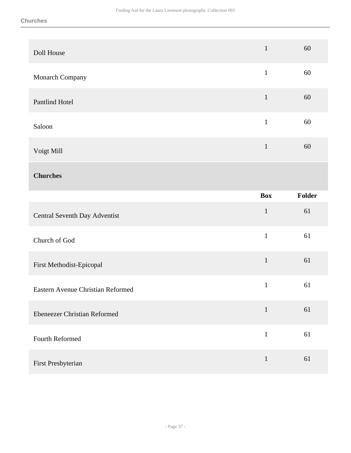| Doll House                          | $\mathbf{1}$ | 60     |
|-------------------------------------|--------------|--------|
| Monarch Company                     | $\,1\,$      | 60     |
| Pantlind Hotel                      | $\mathbf{1}$ | 60     |
| Saloon                              | $\mathbf 1$  | 60     |
| Voigt Mill                          | $\mathbf 1$  | 60     |
| <b>Churches</b>                     |              |        |
|                                     | <b>Box</b>   | Folder |
|                                     |              |        |
| Central Seventh Day Adventist       | $\mathbf{1}$ | 61     |
| Church of God                       | $\mathbf 1$  | 61     |
| First Methodist-Epicopal            | $\,1$        | 61     |
| Eastern Avenue Christian Reformed   | $\mathbf{1}$ | 61     |
| <b>Ebeneezer Christian Reformed</b> | $\mathbf{1}$ | 61     |
| Fourth Reformed                     | $\mathbf 1$  | 61     |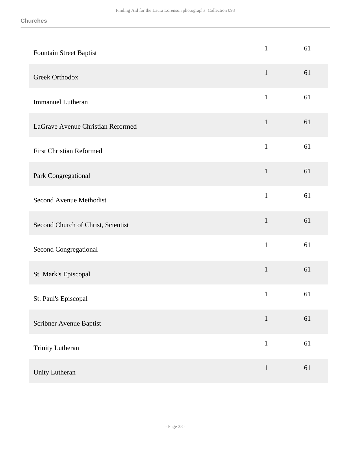| Fountain Street Baptist            | $\mathbf{1}$ | 61 |
|------------------------------------|--------------|----|
| <b>Greek Orthodox</b>              | $\mathbf{1}$ | 61 |
| <b>Immanuel Lutheran</b>           | $\mathbf{1}$ | 61 |
| LaGrave Avenue Christian Reformed  | $\mathbf{1}$ | 61 |
| <b>First Christian Reformed</b>    | $\mathbf{1}$ | 61 |
| Park Congregational                | $\mathbf{1}$ | 61 |
| <b>Second Avenue Methodist</b>     | $\mathbf{1}$ | 61 |
| Second Church of Christ, Scientist | $\mathbf{1}$ | 61 |
| Second Congregational              | $\mathbf{1}$ | 61 |
| St. Mark's Episcopal               | $\mathbf{1}$ | 61 |
| St. Paul's Episcopal               | $\mathbf{1}$ | 61 |
| Scribner Avenue Baptist            | $\mathbf{1}$ | 61 |
| Trinity Lutheran                   | $\mathbf{1}$ | 61 |
| Unity Lutheran                     | $\mathbf{1}$ | 61 |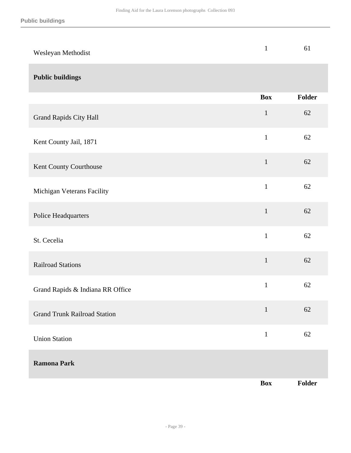| Wesleyan Methodist                  | $\mathbf{1}$ | 61     |
|-------------------------------------|--------------|--------|
| <b>Public buildings</b>             |              |        |
|                                     | <b>Box</b>   | Folder |
| Grand Rapids City Hall              | $\mathbf{1}$ | 62     |
| Kent County Jail, 1871              | $\mathbf{1}$ | 62     |
| Kent County Courthouse              | $\mathbf{1}$ | 62     |
| Michigan Veterans Facility          | $\mathbf{1}$ | 62     |
| Police Headquarters                 | $\mathbf 1$  | 62     |
| St. Cecelia                         | $\mathbf{1}$ | 62     |
| <b>Railroad Stations</b>            | $\mathbf 1$  | 62     |
| Grand Rapids & Indiana RR Office    | $\mathbf{1}$ | 62     |
| <b>Grand Trunk Railroad Station</b> | $\mathbf{1}$ | 62     |
| <b>Union Station</b>                | $\mathbf{1}$ | 62     |
| <b>Ramona Park</b>                  |              |        |
|                                     | <b>Box</b>   | Folder |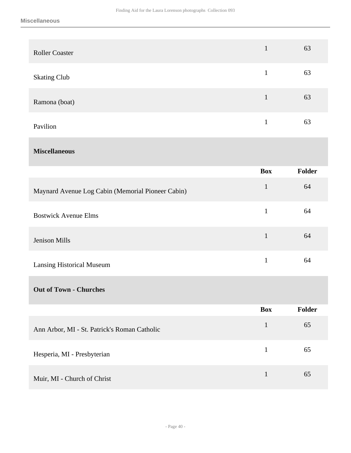| <b>Roller Coaster</b> | $\mathbf{1}$ | 63 |
|-----------------------|--------------|----|
| <b>Skating Club</b>   |              | 63 |
| Ramona (boat)         |              | 63 |
| Pavilion              |              | 63 |

### **Miscellaneous**

|                                                   | <b>Box</b>   | Folder |
|---------------------------------------------------|--------------|--------|
| Maynard Avenue Log Cabin (Memorial Pioneer Cabin) | 1            | 64     |
| <b>Bostwick Avenue Elms</b>                       | $\mathbf{1}$ | 64     |
| Jenison Mills                                     | $\mathbf{1}$ | 64     |
| <b>Lansing Historical Museum</b>                  | 1            | 64     |
| <b>Out of Town - Churches</b>                     |              |        |

|                                              | <b>Box</b> | <b>Folder</b> |
|----------------------------------------------|------------|---------------|
| Ann Arbor, MI - St. Patrick's Roman Catholic |            | 65            |
| Hesperia, MI - Presbyterian                  | 1          | 65            |
| Muir, MI - Church of Christ                  |            | 65            |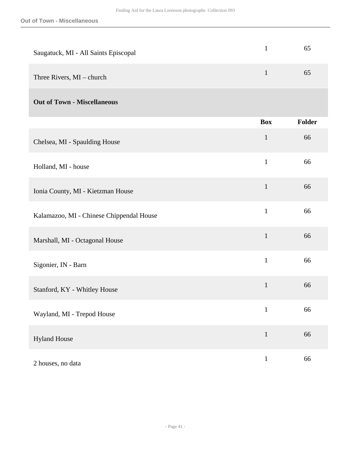| Saugatuck, MI - All Saints Episcopal     | $\mathbf{1}$ | 65            |
|------------------------------------------|--------------|---------------|
| Three Rivers, MI - church                | $\mathbf{1}$ | 65            |
| <b>Out of Town - Miscellaneous</b>       |              |               |
|                                          | <b>Box</b>   | <b>Folder</b> |
| Chelsea, MI - Spaulding House            | $\mathbf 1$  | 66            |
| Holland, MI - house                      | $\mathbf{1}$ | 66            |
| Ionia County, MI - Kietzman House        | $\mathbf{1}$ | 66            |
| Kalamazoo, MI - Chinese Chippendal House | $\mathbf{1}$ | 66            |
| Marshall, MI - Octagonal House           | $\mathbf{1}$ | 66            |
| Sigonier, IN - Barn                      | $\mathbf{1}$ | 66            |
| Stanford, KY - Whitley House             | $\mathbf{1}$ | 66            |
| Wayland, MI - Trepod House               | $\mathbf{1}$ | 66            |
| <b>Hyland House</b>                      | $\mathbf{1}$ | 66            |
| 2 houses, no data                        | $\mathbf{1}$ | 66            |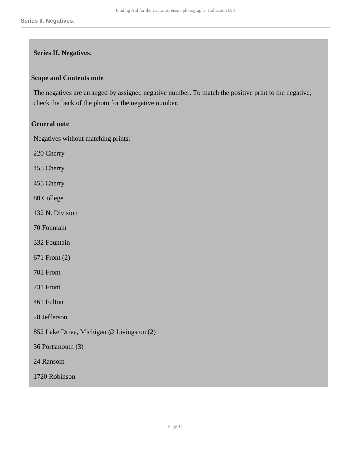#### <span id="page-41-0"></span>**Series II. Negatives.**

#### **Scope and Contents note**

The negatives are arranged by assigned negative number. To match the positive print to the negative, check the back of the photo for the negative number.

#### **General note**

Negatives without matching prints:

220 Cherry

455 Cherry

455 Cherry

80 College

132 N. Division

70 Fountain

332 Fountain

671 Front (2)

703 Front

731 Front

461 Fulton

28 Jefferson

852 Lake Drive, Michigan @ Livingston (2)

36 Portsmouth (3)

24 Ransom

1720 Robinson